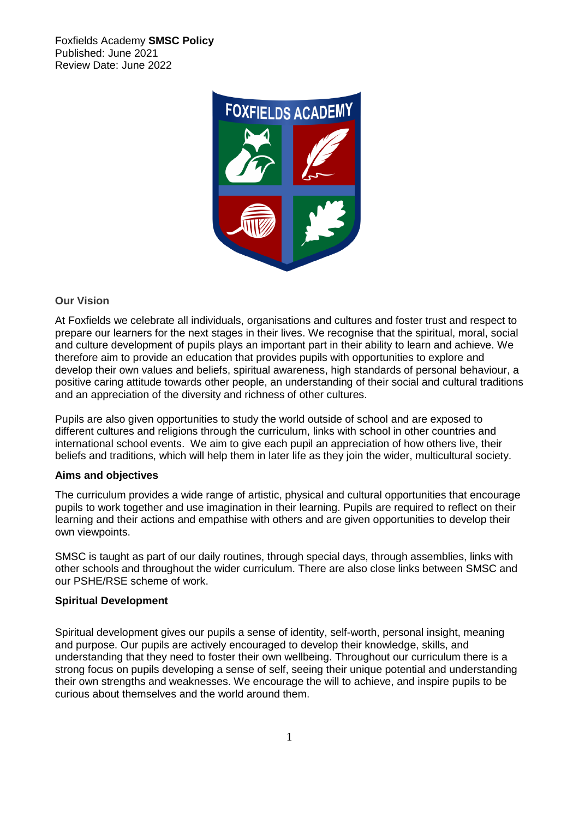Foxfields Academy **SMSC Policy** Published: June 2021 Review Date: June 2022



# **Our Vision**

At Foxfields we celebrate all individuals, organisations and cultures and foster trust and respect to prepare our learners for the next stages in their lives. We recognise that the spiritual, moral, social and culture development of pupils plays an important part in their ability to learn and achieve. We therefore aim to provide an education that provides pupils with opportunities to explore and develop their own values and beliefs, spiritual awareness, high standards of personal behaviour, a positive caring attitude towards other people, an understanding of their social and cultural traditions and an appreciation of the diversity and richness of other cultures.

Pupils are also given opportunities to study the world outside of school and are exposed to different cultures and religions through the curriculum, links with school in other countries and international school events. We aim to give each pupil an appreciation of how others live, their beliefs and traditions, which will help them in later life as they join the wider, multicultural society.

#### **Aims and objectives**

The curriculum provides a wide range of artistic, physical and cultural opportunities that encourage pupils to work together and use imagination in their learning. Pupils are required to reflect on their learning and their actions and empathise with others and are given opportunities to develop their own viewpoints.

SMSC is taught as part of our daily routines, through special days, through assemblies, links with other schools and throughout the wider curriculum. There are also close links between SMSC and our PSHE/RSE scheme of work.

#### **Spiritual Development**

Spiritual development gives our pupils a sense of identity, self-worth, personal insight, meaning and purpose. Our pupils are actively encouraged to develop their knowledge, skills, and understanding that they need to foster their own wellbeing. Throughout our curriculum there is a strong focus on pupils developing a sense of self, seeing their unique potential and understanding their own strengths and weaknesses. We encourage the will to achieve, and inspire pupils to be curious about themselves and the world around them.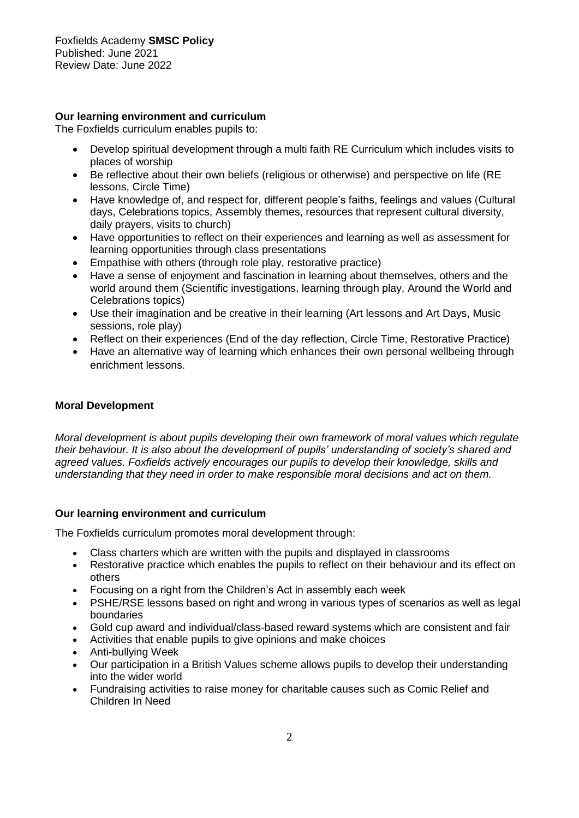# **Our learning environment and curriculum**

The Foxfields curriculum enables pupils to:

- Develop spiritual development through a multi faith RE Curriculum which includes visits to places of worship
- Be reflective about their own beliefs (religious or otherwise) and perspective on life (RE lessons, Circle Time)
- Have knowledge of, and respect for, different people's faiths, feelings and values (Cultural days, Celebrations topics, Assembly themes, resources that represent cultural diversity, daily prayers, visits to church)
- Have opportunities to reflect on their experiences and learning as well as assessment for learning opportunities through class presentations
- Empathise with others (through role play, restorative practice)
- Have a sense of enjoyment and fascination in learning about themselves, others and the world around them (Scientific investigations, learning through play, Around the World and Celebrations topics)
- Use their imagination and be creative in their learning (Art lessons and Art Days, Music sessions, role play)
- Reflect on their experiences (End of the day reflection, Circle Time, Restorative Practice)
- Have an alternative way of learning which enhances their own personal wellbeing through enrichment lessons.

### **Moral Development**

*Moral development is about pupils developing their own framework of moral values which regulate their behaviour. It is also about the development of pupils' understanding of society's shared and agreed values. Foxfields actively encourages our pupils to develop their knowledge, skills and understanding that they need in order to make responsible moral decisions and act on them.*

# **Our learning environment and curriculum**

The Foxfields curriculum promotes moral development through:

- Class charters which are written with the pupils and displayed in classrooms
- Restorative practice which enables the pupils to reflect on their behaviour and its effect on others
- Focusing on a right from the Children's Act in assembly each week
- PSHE/RSE lessons based on right and wrong in various types of scenarios as well as legal boundaries
- Gold cup award and individual/class-based reward systems which are consistent and fair
- Activities that enable pupils to give opinions and make choices
- Anti-bullying Week
- Our participation in a British Values scheme allows pupils to develop their understanding into the wider world
- Fundraising activities to raise money for charitable causes such as Comic Relief and Children In Need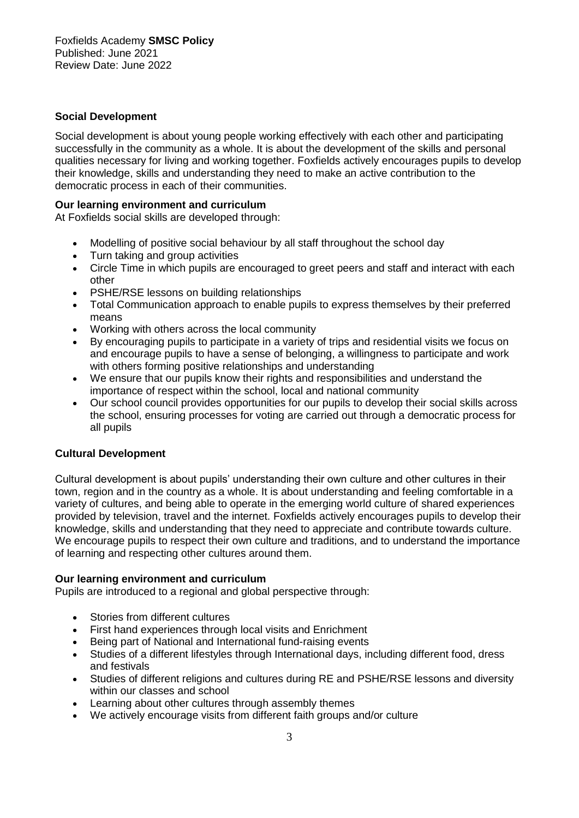### **Social Development**

Social development is about young people working effectively with each other and participating successfully in the community as a whole. It is about the development of the skills and personal qualities necessary for living and working together. Foxfields actively encourages pupils to develop their knowledge, skills and understanding they need to make an active contribution to the democratic process in each of their communities.

#### **Our learning environment and curriculum**

At Foxfields social skills are developed through:

- Modelling of positive social behaviour by all staff throughout the school day
- Turn taking and group activities
- Circle Time in which pupils are encouraged to greet peers and staff and interact with each other
- PSHE/RSE lessons on building relationships
- Total Communication approach to enable pupils to express themselves by their preferred means
- Working with others across the local community
- By encouraging pupils to participate in a variety of trips and residential visits we focus on and encourage pupils to have a sense of belonging, a willingness to participate and work with others forming positive relationships and understanding
- We ensure that our pupils know their rights and responsibilities and understand the importance of respect within the school, local and national community
- Our school council provides opportunities for our pupils to develop their social skills across the school, ensuring processes for voting are carried out through a democratic process for all pupils

# **Cultural Development**

Cultural development is about pupils' understanding their own culture and other cultures in their town, region and in the country as a whole. It is about understanding and feeling comfortable in a variety of cultures, and being able to operate in the emerging world culture of shared experiences provided by television, travel and the internet. Foxfields actively encourages pupils to develop their knowledge, skills and understanding that they need to appreciate and contribute towards culture. We encourage pupils to respect their own culture and traditions, and to understand the importance of learning and respecting other cultures around them.

#### **Our learning environment and curriculum**

Pupils are introduced to a regional and global perspective through:

- Stories from different cultures
- First hand experiences through local visits and Enrichment
- Being part of National and International fund-raising events
- Studies of a different lifestyles through International days, including different food, dress and festivals
- Studies of different religions and cultures during RE and PSHE/RSE lessons and diversity within our classes and school
- Learning about other cultures through assembly themes
- We actively encourage visits from different faith groups and/or culture